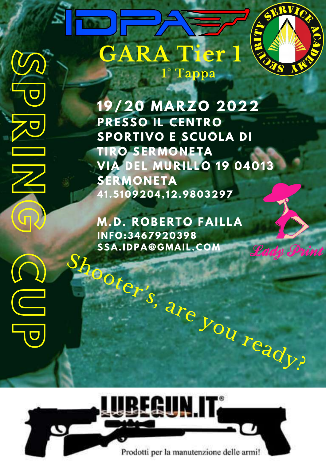**P**

 $Z$ 

**I**

**N**

**G**

**C**

**U** 

**P** 

**19/20 MARZO 2022 PRESSO IL CE N TRO SPORTIVO E SCUOLA DI TIRO SERMON ETA VIA DEL MURILLO 19 04013 SERMON ETA 41 .5109204, 12.9803297**

 $S_{\textit{loop}}$ **M.D. ROBERTO FAILLA I N FO:3467920398 SSA.IDPA@GMAIL.COM**

Prodotti per la manutenzione delle armi!

EGUN IT.

 $s, a_{r}e_{y_{O_{U_{r}}}}$ 

Lady Print

**GARA Tier 1**

 $\omega$ 

**1° Tappa**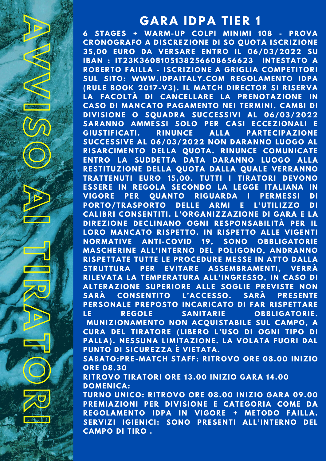**V**

**IF WARTER OF** 

 $\mathcal{S}_{\Omega}$ 

**O**

**A** 

**IF AT** 

**THE STATE** 

**I**

**R** 

**B** 

**T** 

**O**

**R**

**I** 

## **G ARA IDPA TIER 1**

**A** 

**VALUE** 

**6 STA G ES + WARM-UP COLPI MI N IMI 108 - PROVA CRONOG RAFO A DISCREZION E DI SO QUOTA ISCRIZION E 35,00 EURO DA VERSARE E N TRO IL 06/03/2022 SU IBA N : IT23K3608105138256608656623 I N TESTATO A ROBERTO FAILLA - ISCRIZION E A G RI G LIA COMPETITORI SUL SITO: WWW.IDPAITALY.COM RE GOLAME N TO IDPA (RULE BOOK 2017-V3) . IL MATCH DIRECTOR SI RISERVA LA FACOLTÀ DI CA N CELLARE LA PRE NOTAZION E I N CASO DI MA N CATO PA G AME N TO N EI TERMI N I. CAMBI DI DIVISION E O SQUADRA SUCCESSIVI AL 06/03/2022 SARA N NO AMMESSI SOLO PER CASI ECCEZION ALI E G IUSTIFICATI. RI N U N CE ALLA PARTECIPAZION E SUCCESSIVE AL 06/03/2022 NON DARA N NO LUOGO AL RISARCIMENTO DELLA QUOTA. RINUNCE COMUNICATE E N TRO LA SUDDETTA DATA DARA N NO LUOGO ALLA RESTITUZION E DELLA QUOTA DALLA QUALE VERRA N NO TRATTE N UTI EURO 15,00. TUTTI I TIRATORI DEVONO ESSERE I N RE GOLA SECON DO LA LE G G E ITALIA N A I N VI GORE PER QUA N TO RI G UARDA I PERMESSI DI PORTO/TRASPORTO DELLE ARMI E L'UTILIZZO DI CALIBRI CON SE N TITI. L'OR G A N IZZAZION E DI G ARA E LA DIREZION E DECLI N A NO OG N I RESPON SABILITÀ PER IL LORO MANCATO RISPETTO. IN RISPETTO ALLE VIGENTI NORMATIVE A N TI -COVID 19, SONO OBBLI G ATORIE MASCHERI N E ALL'I N TER NO DEL POLI GONO, A N DRA N NO RISPETTATE TUTTE LE PROCEDURE MESSE I N ATTO DALLA STRUTTURA PER EVITARE ASSEMBRAME N TI, VERRÀ RILEVATA LA TEMPERATURA ALL'I N G RESSO, I N CASO DI ALTERAZION E SUPERIORE ALLE SOG LIE PREVISTE NON SARÀ CON SE N TITO L'ACCESSO. SARÀ PRESE N TE PERSON ALE PREPOSTO I N CARICATO DI FAR RISPETTARE LE RE GOLE SA N ITARIE OBBLI G ATORIE. MU N IZION AME N TO NON ACQUISTABILE SUL CAMPO, A CURA DEL TIRATORE (LIBERO L'USO DI OG N I TIPO DI PALLA) . N ESSU N A LIMITAZION E. LA VOLATA FUORI DAL PU N TO DI SICUREZZA È VIETATA. SABATO:PRE-MATCH STAFF: RITROVO ORE 08.00 I N IZIO ORE 08.30 RITROVO TIRATORI ORE 13.00 I N IZIO G ARA 14.00 DOME N ICA: TUR NO U N ICO: RITROVO ORE 08.00 I N IZIO G ARA 09.00 PREMIAZION I PER DIVISION E E CATE GORIA COME DA RE GOLAME N TO IDPA I N VI GORE + METODO FAILLA. SERVIZI I G IE N ICI: SONO PRESE N TI ALL'I N TER NO DEL CAMPO DI TIRO .**